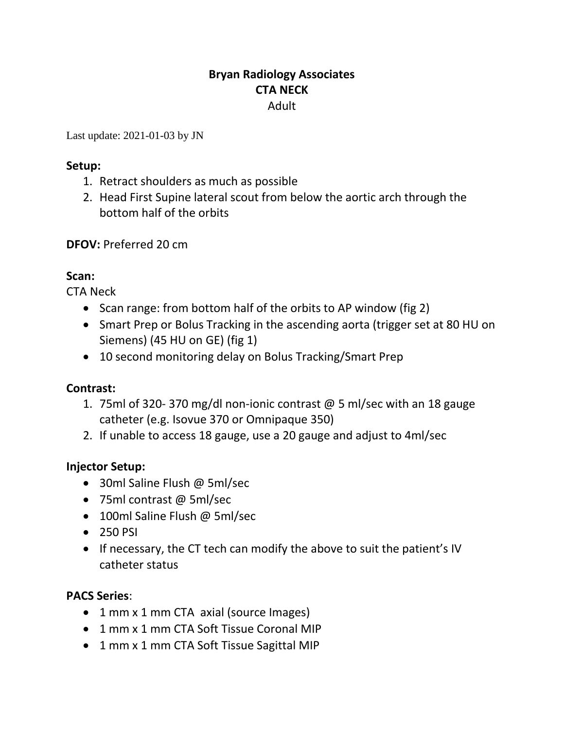# **Bryan Radiology Associates CTA NECK** Adult

Last update: 2021-01-03 by JN

### **Setup:**

- 1. Retract shoulders as much as possible
- 2. Head First Supine lateral scout from below the aortic arch through the bottom half of the orbits

**DFOV:** Preferred 20 cm

# **Scan:**

CTA Neck

- Scan range: from bottom half of the orbits to AP window (fig 2)
- Smart Prep or Bolus Tracking in the ascending aorta (trigger set at 80 HU on Siemens) (45 HU on GE) (fig 1)
- 10 second monitoring delay on Bolus Tracking/Smart Prep

# **Contrast:**

- 1. 75ml of 320- 370 mg/dl non-ionic contrast @ 5 ml/sec with an 18 gauge catheter (e.g. Isovue 370 or Omnipaque 350)
- 2. If unable to access 18 gauge, use a 20 gauge and adjust to 4ml/sec

# **Injector Setup:**

- 30ml Saline Flush @ 5ml/sec
- 75ml contrast @ 5ml/sec
- 100ml Saline Flush @ 5ml/sec
- 250 PSI
- If necessary, the CT tech can modify the above to suit the patient's IV catheter status

# **PACS Series**:

- 1 mm x 1 mm CTA axial (source Images)
- 1 mm x 1 mm CTA Soft Tissue Coronal MIP
- 1 mm x 1 mm CTA Soft Tissue Sagittal MIP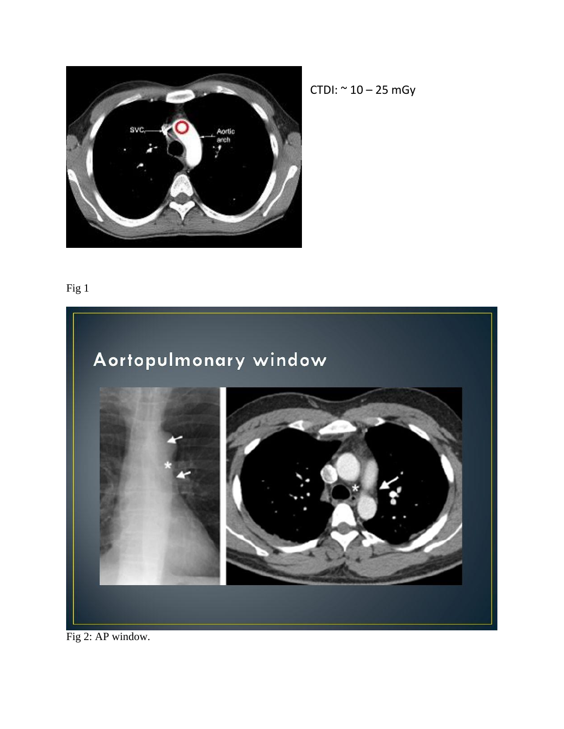

 $CTDI: ~ 10 - 25 mGy$